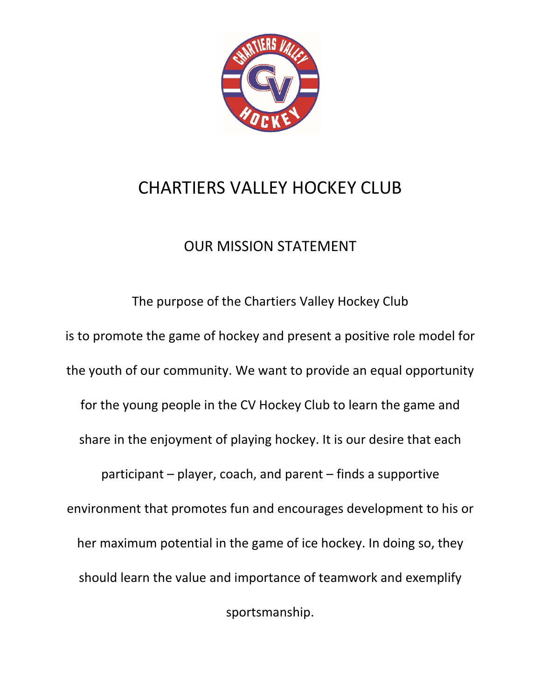

### CHARTIERS VALLEY HOCKEY CLUB

### OUR MISSION STATEMENT

The purpose of the Chartiers Valley Hockey Club is to promote the game of hockey and present a positive role model for the youth of our community. We want to provide an equal opportunity for the young people in the CV Hockey Club to learn the game and share in the enjoyment of playing hockey. It is our desire that each participant – player, coach, and parent – finds a supportive environment that promotes fun and encourages development to his or her maximum potential in the game of ice hockey. In doing so, they should learn the value and importance of teamwork and exemplify sportsmanship.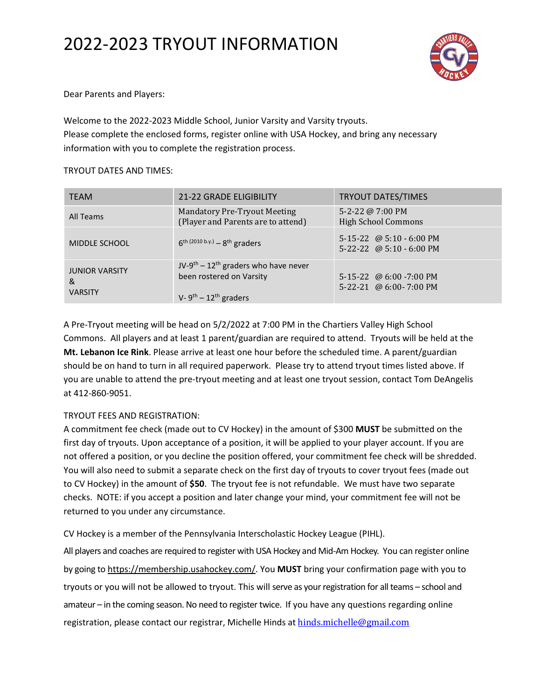### 2022-2023 TRYOUT INFORMATION



Dear Parents and Players:

Welcome to the 2022-2023 Middle School, Junior Varsity and Varsity tryouts. Please complete the enclosed forms, register online with USA Hockey, and bring any necessary information with you to complete the registration process.

#### TRYOUT DATES AND TIMES:

| <b>TEAM</b>                                  | 21-22 GRADE ELIGIBILITY                                                                                                                  | <b>TRYOUT DATES/TIMES</b>                                     |
|----------------------------------------------|------------------------------------------------------------------------------------------------------------------------------------------|---------------------------------------------------------------|
| All Teams                                    | <b>Mandatory Pre-Tryout Meeting</b><br>(Player and Parents are to attend)                                                                | 5-2-22 @ 7:00 PM<br><b>High School Commons</b>                |
| MIDDLE SCHOOL                                | $6^{th (2010 b.y.)} - 8^{th}$ graders                                                                                                    | $5-15-22$ @ $5:10-6:00$ PM<br>$5-22-22$ @ $5:10-6:00$ PM      |
| <b>JUNIOR VARSITY</b><br>&<br><b>VARSITY</b> | JV-9 <sup>th</sup> – 12 <sup>th</sup> graders who have never<br>been rostered on Varsity<br>V-9 <sup>th</sup> – 12 <sup>th</sup> graders | 5-15-22 $@6:00 - 7:00 \text{ PM}$<br>$5-22-21$ @ 6:00-7:00 PM |

A Pre-Tryout meeting will be head on 5/2/2022 at 7:00 PM in the Chartiers Valley High School Commons. All players and at least 1 parent/guardian are required to attend. Tryouts will be held at the **Mt. Lebanon Ice Rink**. Please arrive at least one hour before the scheduled time. A parent/guardian should be on hand to turn in all required paperwork. Please try to attend tryout times listed above. If you are unable to attend the pre-tryout meeting and at least one tryout session, contact Tom DeAngelis at 412-860-9051.

#### TRYOUT FEES AND REGISTRATION:

A commitment fee check (made out to CV Hockey) in the amount of \$300 **MUST** be submitted on the first day of tryouts. Upon acceptance of a position, it will be applied to your player account. If you are not offered a position, or you decline the position offered, your commitment fee check will be shredded. You will also need to submit a separate check on the first day of tryouts to cover tryout fees (made out to CV Hockey) in the amount of **\$50**. The tryout fee is not refundable. We must have two separate checks. NOTE: if you accept a position and later change your mind, your commitment fee will not be returned to you under any circumstance.

CV Hockey is a member of the Pennsylvania Interscholastic Hockey League (PIHL).

All players and coaches are required to register with USA Hockey and Mid-Am Hockey. You can register online by going to https://membership.usahockey.com/. You **MUST** bring your confirmation page with you to tryouts or you will not be allowed to tryout. This will serve as your registration for all teams – school and amateur – in the coming season. No need to register twice. If you have any questions regarding online registration, please contact our registrar, Michelle Hinds at hinds.michelle@gmail.com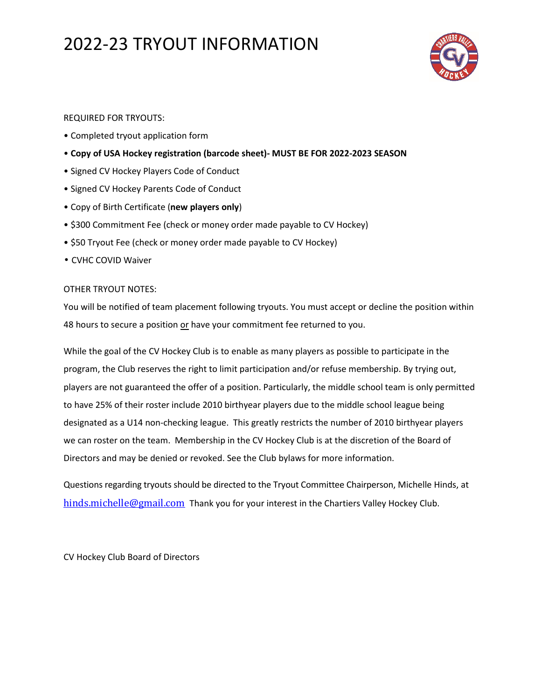### 2022-23 TRYOUT INFORMATION



#### REQUIRED FOR TRYOUTS:

- Completed tryout application form
- **Copy of USA Hockey registration (barcode sheet)- MUST BE FOR 2022-2023 SEASON**
- Signed CV Hockey Players Code of Conduct
- Signed CV Hockey Parents Code of Conduct
- Copy of Birth Certificate (**new players only**)
- \$300 Commitment Fee (check or money order made payable to CV Hockey)
- \$50 Tryout Fee (check or money order made payable to CV Hockey)
- CVHC COVID Waiver

#### OTHER TRYOUT NOTES:

You will be notified of team placement following tryouts. You must accept or decline the position within 48 hours to secure a position or have your commitment fee returned to you.

While the goal of the CV Hockey Club is to enable as many players as possible to participate in the program, the Club reserves the right to limit participation and/or refuse membership. By trying out, players are not guaranteed the offer of a position. Particularly, the middle school team is only permitted to have 25% of their roster include 2010 birthyear players due to the middle school league being designated as a U14 non-checking league. This greatly restricts the number of 2010 birthyear players we can roster on the team. Membership in the CV Hockey Club is at the discretion of the Board of Directors and may be denied or revoked. See the Club bylaws for more information.

Questions regarding tryouts should be directed to the Tryout Committee Chairperson, Michelle Hinds, at hinds.michelle@gmail.com Thank you for your interest in the Chartiers Valley Hockey Club.

CV Hockey Club Board of Directors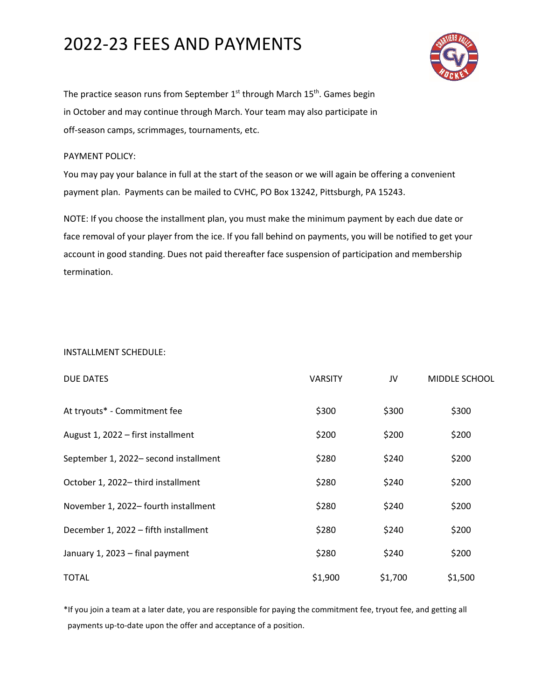### 2022-23 FEES AND PAYMENTS



The practice season runs from September 1<sup>st</sup> through March 15<sup>th</sup>. Games begin in October and may continue through March. Your team may also participate in off-season camps, scrimmages, tournaments, etc.

#### PAYMENT POLICY:

You may pay your balance in full at the start of the season or we will again be offering a convenient payment plan. Payments can be mailed to CVHC, PO Box 13242, Pittsburgh, PA 15243.

NOTE: If you choose the installment plan, you must make the minimum payment by each due date or face removal of your player from the ice. If you fall behind on payments, you will be notified to get your account in good standing. Dues not paid thereafter face suspension of participation and membership termination.

#### INSTALLMENT SCHEDULE:

| <b>DUE DATES</b>                      | <b>VARSITY</b> | JV      | MIDDLE SCHOOL |
|---------------------------------------|----------------|---------|---------------|
| At tryouts* - Commitment fee          | \$300          | \$300   | \$300         |
| August 1, 2022 - first installment    | \$200          | \$200   | \$200         |
| September 1, 2022- second installment | \$280          | \$240   | \$200         |
| October 1, 2022-third installment     | \$280          | \$240   | \$200         |
| November 1, 2022– fourth installment  | \$280          | \$240   | \$200         |
| December 1, 2022 - fifth installment  | \$280          | \$240   | \$200         |
| January 1, 2023 - final payment       | \$280          | \$240   | \$200         |
| <b>TOTAL</b>                          | \$1,900        | \$1,700 | \$1,500       |

\*If you join a team at a later date, you are responsible for paying the commitment fee, tryout fee, and getting all payments up-to-date upon the offer and acceptance of a position.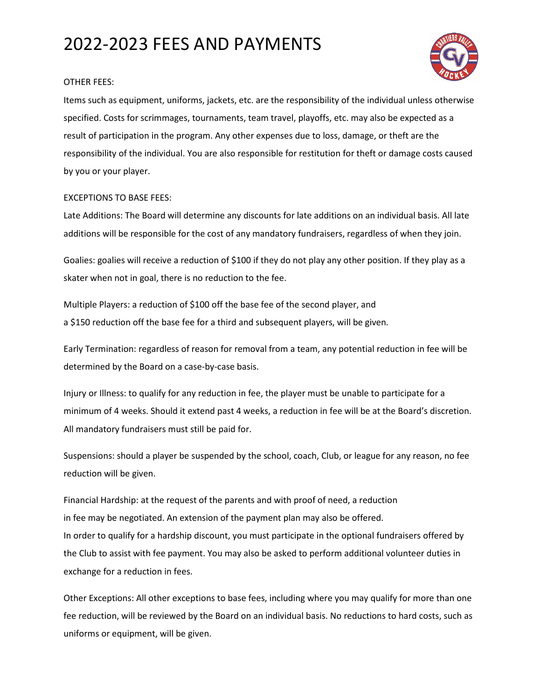### 2022-2023 FEES AND PAYMENTS



#### OTHER FEES:

Items such as equipment, uniforms, jackets, etc. are the responsibility of the individual unless otherwise specified. Costs for scrimmages, tournaments, team travel, playoffs, etc. may also be expected as a result of participation in the program. Any other expenses due to loss, damage, or theft are the responsibility of the individual. You are also responsible for restitution for theft or damage costs caused by you or your player.

#### EXCEPTIONS TO BASE FEES:

Late Additions: The Board will determine any discounts for late additions on an individual basis. All late additions will be responsible for the cost of any mandatory fundraisers, regardless of when they join.

Goalies: goalies will receive a reduction of \$100 if they do not play any other position. If they play as a skater when not in goal, there is no reduction to the fee.

Multiple Players: a reduction of \$100 off the base fee of the second player, and a \$150 reduction off the base fee for a third and subsequent players, will be given.

Early Termination: regardless of reason for removal from a team, any potential reduction in fee will be determined by the Board on a case-by-case basis.

Injury or Illness: to qualify for any reduction in fee, the player must be unable to participate for a minimum of 4 weeks. Should it extend past 4 weeks, a reduction in fee will be at the Board's discretion. All mandatory fundraisers must still be paid for.

Suspensions: should a player be suspended by the school, coach, Club, or league for any reason, no fee reduction will be given.

Financial Hardship: at the request of the parents and with proof of need, a reduction in fee may be negotiated. An extension of the payment plan may also be offered. In order to qualify for a hardship discount, you must participate in the optional fundraisers offered by the Club to assist with fee payment. You may also be asked to perform additional volunteer duties in exchange for a reduction in fees.

Other Exceptions: All other exceptions to base fees, including where you may qualify for more than one fee reduction, will be reviewed by the Board on an individual basis. No reductions to hard costs, such as uniforms or equipment, will be given.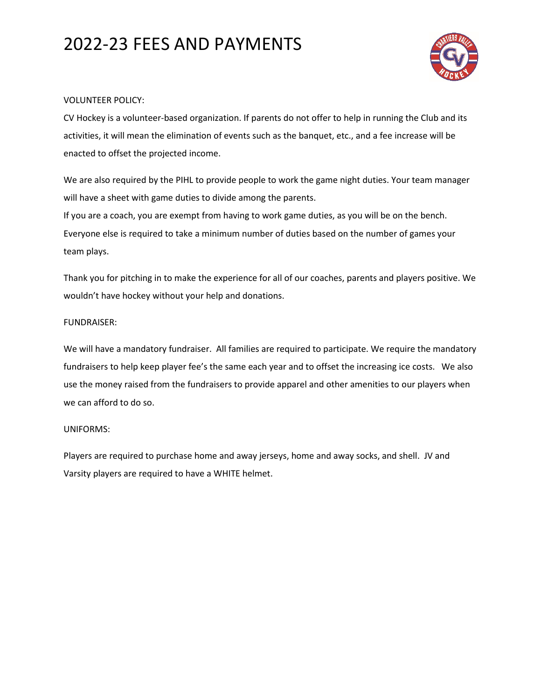### 2022-23 FEES AND PAYMENTS



#### VOLUNTEER POLICY:

CV Hockey is a volunteer-based organization. If parents do not offer to help in running the Club and its activities, it will mean the elimination of events such as the banquet, etc., and a fee increase will be enacted to offset the projected income.

We are also required by the PIHL to provide people to work the game night duties. Your team manager will have a sheet with game duties to divide among the parents.

If you are a coach, you are exempt from having to work game duties, as you will be on the bench. Everyone else is required to take a minimum number of duties based on the number of games your team plays.

Thank you for pitching in to make the experience for all of our coaches, parents and players positive. We wouldn't have hockey without your help and donations.

#### FUNDRAISER:

We will have a mandatory fundraiser. All families are required to participate. We require the mandatory fundraisers to help keep player fee's the same each year and to offset the increasing ice costs. We also use the money raised from the fundraisers to provide apparel and other amenities to our players when we can afford to do so.

#### UNIFORMS:

Players are required to purchase home and away jerseys, home and away socks, and shell. JV and Varsity players are required to have a WHITE helmet.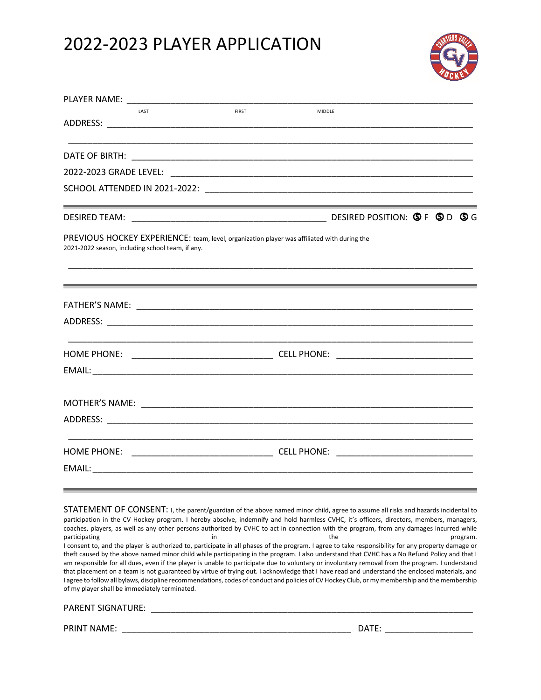### 2022-2023 PLAYER APPLICATION



| PLAYER NAME:                                     |      |              |                                                                                             |  |
|--------------------------------------------------|------|--------------|---------------------------------------------------------------------------------------------|--|
|                                                  | LAST | <b>FIRST</b> | MIDDLE                                                                                      |  |
|                                                  |      |              |                                                                                             |  |
|                                                  |      |              |                                                                                             |  |
|                                                  |      |              |                                                                                             |  |
|                                                  |      |              |                                                                                             |  |
|                                                  |      |              |                                                                                             |  |
| 2021-2022 season, including school team, if any. |      |              | PREVIOUS HOCKEY EXPERIENCE: team, level, organization player was affiliated with during the |  |
|                                                  |      |              |                                                                                             |  |
|                                                  |      |              |                                                                                             |  |
|                                                  |      |              |                                                                                             |  |
|                                                  |      |              |                                                                                             |  |

STATEMENT OF CONSENT: I, the parent/guardian of the above named minor child, agree to assume all risks and hazards incidental to participation in the CV Hockey program. I hereby absolve, indemnify and hold harmless CVHC, it's officers, directors, members, managers, coaches, players, as well as any other persons authorized by CVHC to act in connection with the program, from any damages incurred while participating in the program. The program in the program in the program. I consent to, and the player is authorized to, participate in all phases of the program. I agree to take responsibility for any property damage or theft caused by the above named minor child while participating in the program. I also understand that CVHC has a No Refund Policy and that I am responsible for all dues, even if the player is unable to participate due to voluntary or involuntary removal from the program. I understand that placement on a team is not guaranteed by virtue of trying out. I acknowledge that I have read and understand the enclosed materials, and I agree to follow all bylaws, discipline recommendations, codes of conduct and policies of CV Hockey Club, or my membership and the membership of my player shall be immediately terminated.

PRINT NAME: \_\_\_\_\_\_\_\_\_\_\_\_\_\_\_\_\_\_\_\_\_\_\_\_\_\_\_\_\_\_\_\_\_\_\_\_\_\_\_\_\_\_\_\_\_\_\_ DATE: \_\_\_\_\_\_\_\_\_\_\_\_\_\_\_\_\_\_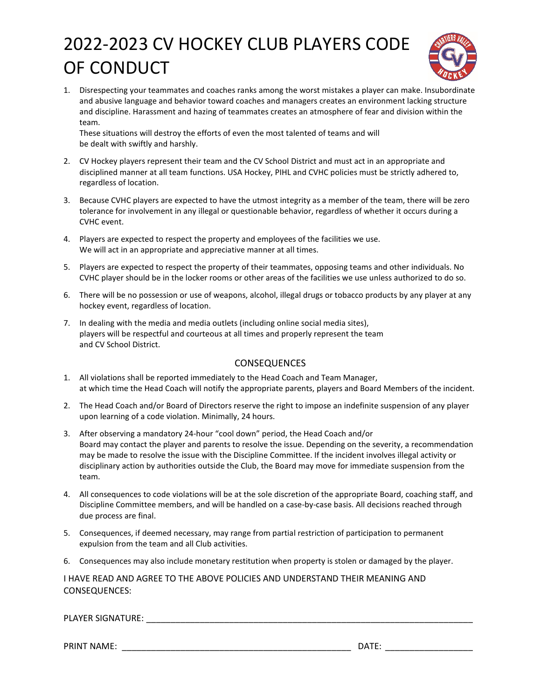# 2022-2023 CV HOCKEY CLUB PLAYERS CODE OF CONDUCT



1. Disrespecting your teammates and coaches ranks among the worst mistakes a player can make. Insubordinate and abusive language and behavior toward coaches and managers creates an environment lacking structure and discipline. Harassment and hazing of teammates creates an atmosphere of fear and division within the team.

These situations will destroy the efforts of even the most talented of teams and will be dealt with swiftly and harshly.

- 2. CV Hockey players represent their team and the CV School District and must act in an appropriate and disciplined manner at all team functions. USA Hockey, PIHL and CVHC policies must be strictly adhered to, regardless of location.
- 3. Because CVHC players are expected to have the utmost integrity as a member of the team, there will be zero tolerance for involvement in any illegal or questionable behavior, regardless of whether it occurs during a CVHC event.
- 4. Players are expected to respect the property and employees of the facilities we use. We will act in an appropriate and appreciative manner at all times.
- 5. Players are expected to respect the property of their teammates, opposing teams and other individuals. No CVHC player should be in the locker rooms or other areas of the facilities we use unless authorized to do so.
- 6. There will be no possession or use of weapons, alcohol, illegal drugs or tobacco products by any player at any hockey event, regardless of location.
- 7. In dealing with the media and media outlets (including online social media sites), players will be respectful and courteous at all times and properly represent the team and CV School District.

#### CONSEQUENCES

- 1. All violations shall be reported immediately to the Head Coach and Team Manager, at which time the Head Coach will notify the appropriate parents, players and Board Members of the incident.
- 2. The Head Coach and/or Board of Directors reserve the right to impose an indefinite suspension of any player upon learning of a code violation. Minimally, 24 hours.
- 3. After observing a mandatory 24-hour "cool down" period, the Head Coach and/or Board may contact the player and parents to resolve the issue. Depending on the severity, a recommendation may be made to resolve the issue with the Discipline Committee. If the incident involves illegal activity or disciplinary action by authorities outside the Club, the Board may move for immediate suspension from the team.
- 4. All consequences to code violations will be at the sole discretion of the appropriate Board, coaching staff, and Discipline Committee members, and will be handled on a case-by-case basis. All decisions reached through due process are final.
- 5. Consequences, if deemed necessary, may range from partial restriction of participation to permanent expulsion from the team and all Club activities.
- 6. Consequences may also include monetary restitution when property is stolen or damaged by the player.

I HAVE READ AND AGREE TO THE ABOVE POLICIES AND UNDERSTAND THEIR MEANING AND CONSEQUENCES:

PLAYER SIGNATURE: \_\_\_\_\_\_\_\_\_\_\_\_\_\_\_\_\_\_\_\_\_\_\_\_\_\_\_\_\_\_\_\_\_\_\_\_\_\_\_\_\_\_\_\_\_\_\_\_\_\_\_\_\_\_\_\_\_\_\_\_\_\_\_\_\_\_\_

PRINT NAME: \_\_\_\_\_\_\_\_\_\_\_\_\_\_\_\_\_\_\_\_\_\_\_\_\_\_\_\_\_\_\_\_\_\_\_\_\_\_\_\_\_\_\_\_\_\_\_ DATE: \_\_\_\_\_\_\_\_\_\_\_\_\_\_\_\_\_\_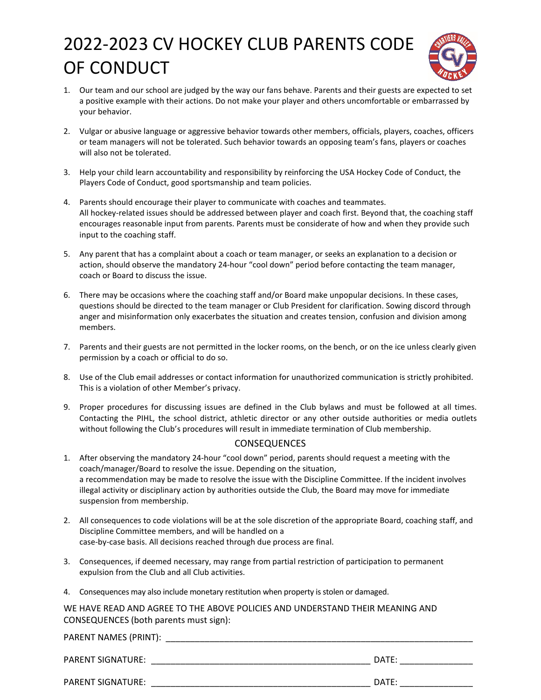# 2022-2023 CV HOCKEY CLUB PARENTS CODE OF CONDUCT



- 1. Our team and our school are judged by the way our fans behave. Parents and their guests are expected to set a positive example with their actions. Do not make your player and others uncomfortable or embarrassed by your behavior.
- 2. Vulgar or abusive language or aggressive behavior towards other members, officials, players, coaches, officers or team managers will not be tolerated. Such behavior towards an opposing team's fans, players or coaches will also not be tolerated.
- 3. Help your child learn accountability and responsibility by reinforcing the USA Hockey Code of Conduct, the Players Code of Conduct, good sportsmanship and team policies.
- 4. Parents should encourage their player to communicate with coaches and teammates. All hockey-related issues should be addressed between player and coach first. Beyond that, the coaching staff encourages reasonable input from parents. Parents must be considerate of how and when they provide such input to the coaching staff.
- 5. Any parent that has a complaint about a coach or team manager, or seeks an explanation to a decision or action, should observe the mandatory 24-hour "cool down" period before contacting the team manager, coach or Board to discuss the issue.
- 6. There may be occasions where the coaching staff and/or Board make unpopular decisions. In these cases, questions should be directed to the team manager or Club President for clarification. Sowing discord through anger and misinformation only exacerbates the situation and creates tension, confusion and division among members.
- 7. Parents and their guests are not permitted in the locker rooms, on the bench, or on the ice unless clearly given permission by a coach or official to do so.
- 8. Use of the Club email addresses or contact information for unauthorized communication is strictly prohibited. This is a violation of other Member's privacy.
- 9. Proper procedures for discussing issues are defined in the Club bylaws and must be followed at all times. Contacting the PIHL, the school district, athletic director or any other outside authorities or media outlets without following the Club's procedures will result in immediate termination of Club membership.

#### CONSEQUENCES

- 1. After observing the mandatory 24-hour "cool down" period, parents should request a meeting with the coach/manager/Board to resolve the issue. Depending on the situation, a recommendation may be made to resolve the issue with the Discipline Committee. If the incident involves illegal activity or disciplinary action by authorities outside the Club, the Board may move for immediate suspension from membership.
- 2. All consequences to code violations will be at the sole discretion of the appropriate Board, coaching staff, and Discipline Committee members, and will be handled on a case-by-case basis. All decisions reached through due process are final.
- 3. Consequences, if deemed necessary, may range from partial restriction of participation to permanent expulsion from the Club and all Club activities.
- 4. Consequences may also include monetary restitution when property is stolen or damaged.

PARENT NAMES (PRINT).

WE HAVE READ AND AGREE TO THE ABOVE POLICIES AND UNDERSTAND THEIR MEANING AND CONSEQUENCES (both parents must sign):

| $\overline{\phantom{a}}$ |       |
|--------------------------|-------|
| <b>PARENT SIGNATURE:</b> | DATE: |
| <b>PARENT SIGNATURE:</b> | DATE: |